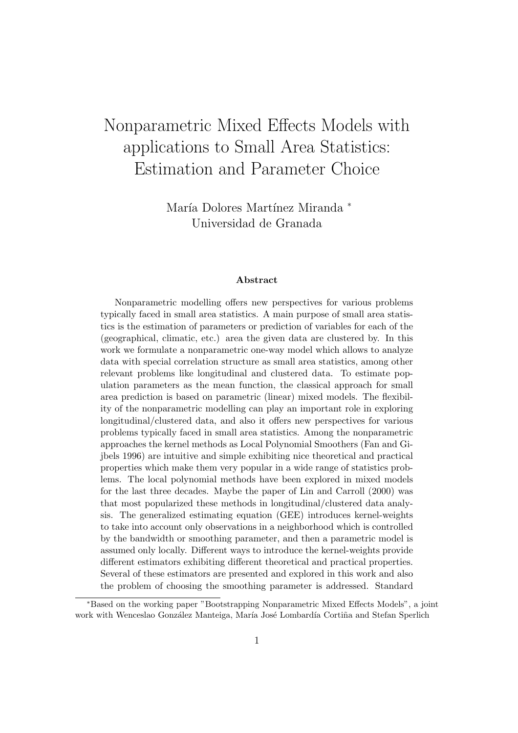## Nonparametric Mixed Effects Models with applications to Small Area Statistics: Estimation and Parameter Choice

María Dolores Martínez Miranda \* Universidad de Granada

## Abstract

Nonparametric modelling offers new perspectives for various problems typically faced in small area statistics. A main purpose of small area statistics is the estimation of parameters or prediction of variables for each of the (geographical, climatic, etc.) area the given data are clustered by. In this work we formulate a nonparametric one-way model which allows to analyze data with special correlation structure as small area statistics, among other relevant problems like longitudinal and clustered data. To estimate population parameters as the mean function, the classical approach for small area prediction is based on parametric (linear) mixed models. The flexibility of the nonparametric modelling can play an important role in exploring longitudinal/clustered data, and also it offers new perspectives for various problems typically faced in small area statistics. Among the nonparametric approaches the kernel methods as Local Polynomial Smoothers (Fan and Gijbels 1996) are intuitive and simple exhibiting nice theoretical and practical properties which make them very popular in a wide range of statistics problems. The local polynomial methods have been explored in mixed models for the last three decades. Maybe the paper of Lin and Carroll (2000) was that most popularized these methods in longitudinal/clustered data analysis. The generalized estimating equation (GEE) introduces kernel-weights to take into account only observations in a neighborhood which is controlled by the bandwidth or smoothing parameter, and then a parametric model is assumed only locally. Different ways to introduce the kernel-weights provide different estimators exhibiting different theoretical and practical properties. Several of these estimators are presented and explored in this work and also the problem of choosing the smoothing parameter is addressed. Standard

<sup>∗</sup>Based on the working paper "Bootstrapping Nonparametric Mixed Effects Models", a joint work with Wenceslao González Manteiga, María José Lombardía Cortiña and Stefan Sperlich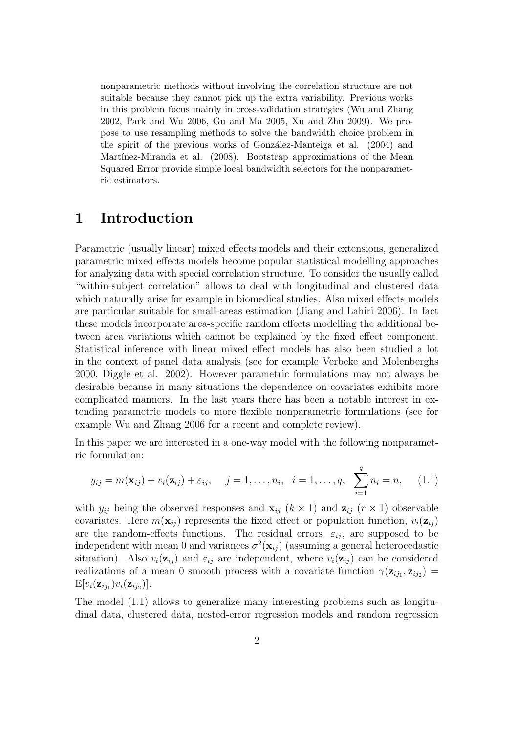nonparametric methods without involving the correlation structure are not suitable because they cannot pick up the extra variability. Previous works in this problem focus mainly in cross-validation strategies (Wu and Zhang 2002, Park and Wu 2006, Gu and Ma 2005, Xu and Zhu 2009). We propose to use resampling methods to solve the bandwidth choice problem in the spirit of the previous works of González-Manteiga et al. (2004) and Martínez-Miranda et al. (2008). Bootstrap approximations of the Mean Squared Error provide simple local bandwidth selectors for the nonparametric estimators.

## 1 Introduction

Parametric (usually linear) mixed effects models and their extensions, generalized parametric mixed effects models become popular statistical modelling approaches for analyzing data with special correlation structure. To consider the usually called "within-subject correlation" allows to deal with longitudinal and clustered data which naturally arise for example in biomedical studies. Also mixed effects models are particular suitable for small-areas estimation (Jiang and Lahiri 2006). In fact these models incorporate area-specific random effects modelling the additional between area variations which cannot be explained by the fixed effect component. Statistical inference with linear mixed effect models has also been studied a lot in the context of panel data analysis (see for example Verbeke and Molenberghs 2000, Diggle et al. 2002). However parametric formulations may not always be desirable because in many situations the dependence on covariates exhibits more complicated manners. In the last years there has been a notable interest in extending parametric models to more flexible nonparametric formulations (see for example Wu and Zhang 2006 for a recent and complete review).

In this paper we are interested in a one-way model with the following nonparametric formulation:

$$
y_{ij} = m(\mathbf{x}_{ij}) + v_i(\mathbf{z}_{ij}) + \varepsilon_{ij}, \quad j = 1, ..., n_i, \quad i = 1, ..., q, \sum_{i=1}^{q} n_i = n, \quad (1.1)
$$

with  $y_{ij}$  being the observed responses and  $\mathbf{x}_{ij}$  ( $k \times 1$ ) and  $\mathbf{z}_{ij}$  ( $r \times 1$ ) observable covariates. Here  $m(\mathbf{x}_{ij})$  represents the fixed effect or population function,  $v_i(\mathbf{z}_{ij})$ are the random-effects functions. The residual errors,  $\varepsilon_{ii}$ , are supposed to be independent with mean 0 and variances  $\sigma^2(\mathbf{x}_{ij})$  (assuming a general heterocedastic situation). Also  $v_i(\mathbf{z}_{ij})$  and  $\varepsilon_{ij}$  are independent, where  $v_i(\mathbf{z}_{ij})$  can be considered realizations of a mean 0 smooth process with a covariate function  $\gamma(\mathbf{z}_{ij_1}, \mathbf{z}_{ij_2}) =$  $E[v_i(\mathbf{z}_{ij_1})v_i(\mathbf{z}_{ij_2})].$ 

The model (1.1) allows to generalize many interesting problems such as longitudinal data, clustered data, nested-error regression models and random regression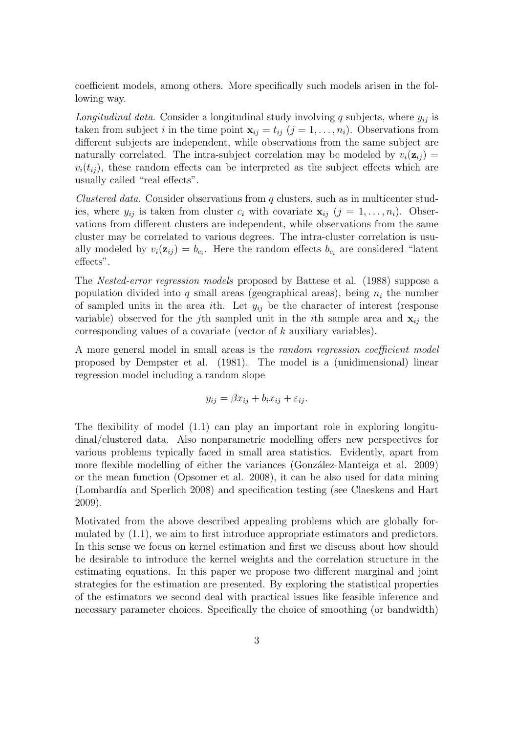coefficient models, among others. More specifically such models arisen in the following way.

Longitudinal data. Consider a longitudinal study involving q subjects, where  $y_{ij}$  is taken from subject i in the time point  $\mathbf{x}_{ij} = t_{ij}$   $(j = 1, \ldots, n_i)$ . Observations from different subjects are independent, while observations from the same subject are naturally correlated. The intra-subject correlation may be modeled by  $v_i(\mathbf{z}_{ij}) =$  $v_i(t_{ij})$ , these random effects can be interpreted as the subject effects which are usually called "real effects".

Clustered data. Consider observations from  $q$  clusters, such as in multicenter studies, where  $y_{ij}$  is taken from cluster  $c_i$  with covariate  $\mathbf{x}_{ij}$   $(j = 1, \ldots, n_i)$ . Observations from different clusters are independent, while observations from the same cluster may be correlated to various degrees. The intra-cluster correlation is usually modeled by  $v_i(\mathbf{z}_{ij}) = b_{c_i}$ . Here the random effects  $b_{c_i}$  are considered "latent" effects".

The Nested-error regression models proposed by Battese et al. (1988) suppose a population divided into q small areas (geographical areas), being  $n_i$  the number of sampled units in the area ith. Let  $y_{ij}$  be the character of interest (response variable) observed for the *j*th sampled unit in the *i*th sample area and  $\mathbf{x}_{ij}$  the corresponding values of a covariate (vector of k auxiliary variables).

A more general model in small areas is the random regression coefficient model proposed by Dempster et al. (1981). The model is a (unidimensional) linear regression model including a random slope

$$
y_{ij} = \beta x_{ij} + b_i x_{ij} + \varepsilon_{ij}.
$$

The flexibility of model  $(1.1)$  can play an important role in exploring longitudinal/clustered data. Also nonparametric modelling offers new perspectives for various problems typically faced in small area statistics. Evidently, apart from more flexible modelling of either the variances (González-Manteiga et al. 2009) or the mean function (Opsomer et al. 2008), it can be also used for data mining (Lombard´ıa and Sperlich 2008) and specification testing (see Claeskens and Hart 2009).

Motivated from the above described appealing problems which are globally formulated by (1.1), we aim to first introduce appropriate estimators and predictors. In this sense we focus on kernel estimation and first we discuss about how should be desirable to introduce the kernel weights and the correlation structure in the estimating equations. In this paper we propose two different marginal and joint strategies for the estimation are presented. By exploring the statistical properties of the estimators we second deal with practical issues like feasible inference and necessary parameter choices. Specifically the choice of smoothing (or bandwidth)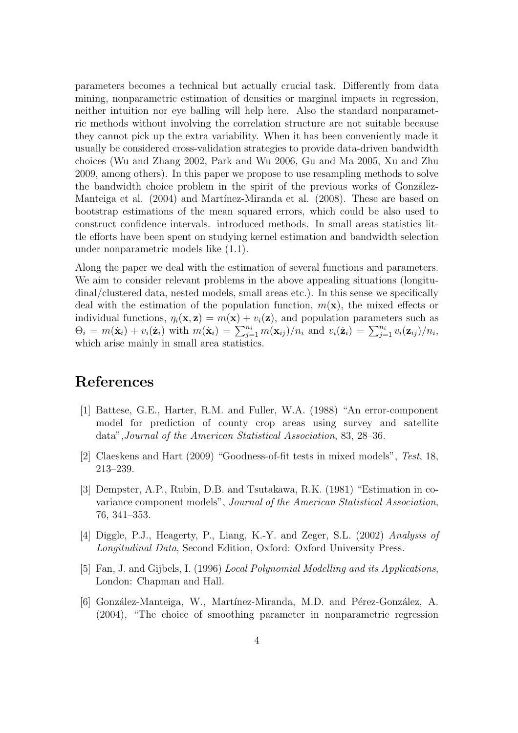parameters becomes a technical but actually crucial task. Differently from data mining, nonparametric estimation of densities or marginal impacts in regression, neither intuition nor eye balling will help here. Also the standard nonparametric methods without involving the correlation structure are not suitable because they cannot pick up the extra variability. When it has been conveniently made it usually be considered cross-validation strategies to provide data-driven bandwidth choices (Wu and Zhang 2002, Park and Wu 2006, Gu and Ma 2005, Xu and Zhu 2009, among others). In this paper we propose to use resampling methods to solve the bandwidth choice problem in the spirit of the previous works of González-Manteiga et al. (2004) and Martínez-Miranda et al. (2008). These are based on bootstrap estimations of the mean squared errors, which could be also used to construct confidence intervals. introduced methods. In small areas statistics little efforts have been spent on studying kernel estimation and bandwidth selection under nonparametric models like (1.1).

Along the paper we deal with the estimation of several functions and parameters. We aim to consider relevant problems in the above appealing situations (longitudinal/clustered data, nested models, small areas etc.). In this sense we specifically deal with the estimation of the population function,  $m(\mathbf{x})$ , the mixed effects or individual functions,  $\eta_i(\mathbf{x}, \mathbf{z}) = m(\mathbf{x}) + v_i(\mathbf{z})$ , and population parameters such as  $\Theta_i = m(\dot{\mathbf{x}}_i) + v_i(\dot{\mathbf{z}}_i)$  with  $m(\dot{\mathbf{x}}_i) = \sum_{j=1}^{n_i} m(\mathbf{x}_{ij})/n_i$  and  $v_i(\dot{\mathbf{z}}_i) = \sum_{j=1}^{n_i} v_i(\mathbf{z}_{ij})/n_i$ which arise mainly in small area statistics.

## References

- [1] Battese, G.E., Harter, R.M. and Fuller, W.A. (1988) "An error-component model for prediction of county crop areas using survey and satellite data",Journal of the American Statistical Association, 83, 28–36.
- [2] Claeskens and Hart (2009) "Goodness-of-fit tests in mixed models", Test, 18, 213–239.
- [3] Dempster, A.P., Rubin, D.B. and Tsutakawa, R.K. (1981) "Estimation in covariance component models", Journal of the American Statistical Association, 76, 341–353.
- [4] Diggle, P.J., Heagerty, P., Liang, K.-Y. and Zeger, S.L. (2002) Analysis of Longitudinal Data, Second Edition, Oxford: Oxford University Press.
- [5] Fan, J. and Gijbels, I. (1996) Local Polynomial Modelling and its Applications, London: Chapman and Hall.
- [6] González-Manteiga, W., Martínez-Miranda, M.D. and Pérez-González, A. (2004), "The choice of smoothing parameter in nonparametric regression